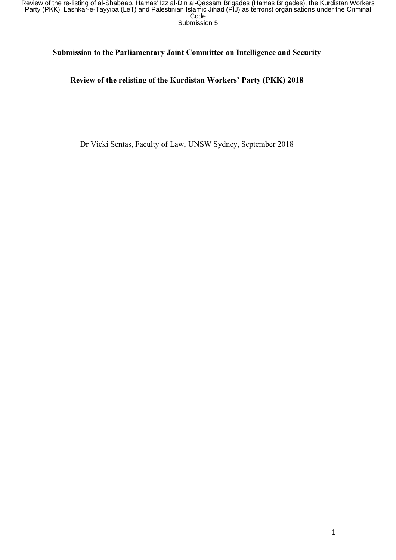### **Submission to the Parliamentary Joint Committee on Intelligence and Security**

# **Review of the relisting of the Kurdistan Workers' Party (PKK) 2018**

Dr Vicki Sentas, Faculty of Law, UNSW Sydney, September 2018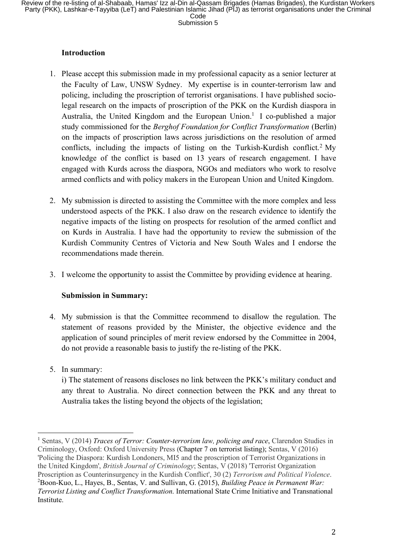## **Introduction**

- 1. Please accept this submission made in my professional capacity as a senior lecturer at the Faculty of Law, UNSW Sydney. My expertise is in counter-terrorism law and policing, including the proscription of terrorist organisations. I have published sociolegal research on the impacts of proscription of the PKK on the Kurdish diaspora in Australia, the United Kingdom and the European Union. <sup>1</sup> I co-published a major study commissioned for the *Berghof Foundation for Conflict Transformation* (Berlin) on the impacts of proscription laws across jurisdictions on the resolution of armed conflicts, including the impacts of listing on the Turkish-Kurdish conflict.<sup>2</sup> My knowledge of the conflict is based on 13 years of research engagement. I have engaged with Kurds across the diaspora, NGOs and mediators who work to resolve armed conflicts and with policy makers in the European Union and United Kingdom.
- 2. My submission is directed to assisting the Committee with the more complex and less understood aspects of the PKK. I also draw on the research evidence to identify the negative impacts of the listing on prospects for resolution of the armed conflict and on Kurds in Australia. I have had the opportunity to review the submission of the Kurdish Community Centres of Victoria and New South Wales and I endorse the recommendations made therein.
- 3. I welcome the opportunity to assist the Committee by providing evidence at hearing.

## **Submission in Summary:**

- 4. My submission is that the Committee recommend to disallow the regulation. The statement of reasons provided by the Minister, the objective evidence and the application of sound principles of merit review endorsed by the Committee in 2004, do not provide a reasonable basis to justify the re-listing of the PKK.
- 5. In summary:

 

i) The statement of reasons discloses no link between the PKK's military conduct and any threat to Australia. No direct connection between the PKK and any threat to Australia takes the listing beyond the objects of the legislation;

<sup>1</sup> Sentas, V (2014) *Traces of Terror: Counter-terrorism law, policing and race*, Clarendon Studies in Criminology, Oxford: Oxford University Press (Chapter 7 on terrorist listing); Sentas, V (2016) 'Policing the Diaspora: Kurdish Londoners, MI5 and the proscription of Terrorist Organizations in the United Kingdom', *British Journal of Criminology*; Sentas, V (2018) 'Terrorist Organization Proscription as Counterinsurgency in the Kurdish Conflict', 30 (2) *Terrorism and Political Violence*. 2 Boon-Kuo, L., Hayes, B., Sentas, V. and Sullivan, G. (2015), *Building Peace in Permanent War: Terrorist Listing and Conflict Transformation*. International State Crime Initiative and Transnational Institute.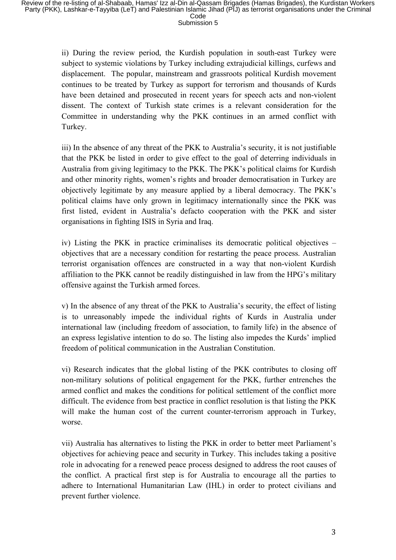ii) During the review period, the Kurdish population in south-east Turkey were subject to systemic violations by Turkey including extrajudicial killings, curfews and displacement. The popular, mainstream and grassroots political Kurdish movement continues to be treated by Turkey as support for terrorism and thousands of Kurds have been detained and prosecuted in recent years for speech acts and non-violent dissent. The context of Turkish state crimes is a relevant consideration for the Committee in understanding why the PKK continues in an armed conflict with Turkey.

iii) In the absence of any threat of the PKK to Australia's security, it is not justifiable that the PKK be listed in order to give effect to the goal of deterring individuals in Australia from giving legitimacy to the PKK. The PKK's political claims for Kurdish and other minority rights, women's rights and broader democratisation in Turkey are objectively legitimate by any measure applied by a liberal democracy. The PKK's political claims have only grown in legitimacy internationally since the PKK was first listed, evident in Australia's defacto cooperation with the PKK and sister organisations in fighting ISIS in Syria and Iraq.

iv) Listing the PKK in practice criminalises its democratic political objectives – objectives that are a necessary condition for restarting the peace process. Australian terrorist organisation offences are constructed in a way that non-violent Kurdish affiliation to the PKK cannot be readily distinguished in law from the HPG's military offensive against the Turkish armed forces.

v) In the absence of any threat of the PKK to Australia's security, the effect of listing is to unreasonably impede the individual rights of Kurds in Australia under international law (including freedom of association, to family life) in the absence of an express legislative intention to do so. The listing also impedes the Kurds' implied freedom of political communication in the Australian Constitution.

vi) Research indicates that the global listing of the PKK contributes to closing off non-military solutions of political engagement for the PKK, further entrenches the armed conflict and makes the conditions for political settlement of the conflict more difficult. The evidence from best practice in conflict resolution is that listing the PKK will make the human cost of the current counter-terrorism approach in Turkey, worse.

vii) Australia has alternatives to listing the PKK in order to better meet Parliament's objectives for achieving peace and security in Turkey. This includes taking a positive role in advocating for a renewed peace process designed to address the root causes of the conflict. A practical first step is for Australia to encourage all the parties to adhere to International Humanitarian Law (IHL) in order to protect civilians and prevent further violence.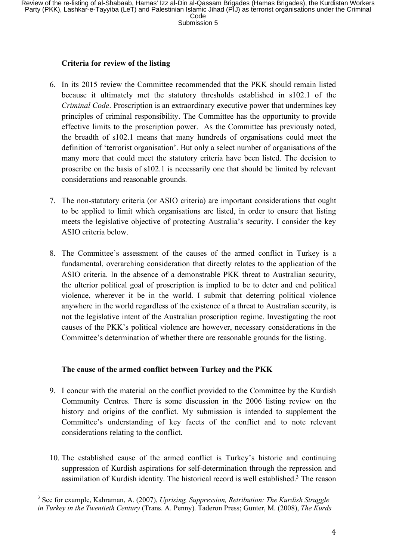#### **Criteria for review of the listing**

- 6. In its 2015 review the Committee recommended that the PKK should remain listed because it ultimately met the statutory thresholds established in s102.1 of the *Criminal Code*. Proscription is an extraordinary executive power that undermines key principles of criminal responsibility. The Committee has the opportunity to provide effective limits to the proscription power. As the Committee has previously noted, the breadth of s102.1 means that many hundreds of organisations could meet the definition of 'terrorist organisation'. But only a select number of organisations of the many more that could meet the statutory criteria have been listed. The decision to proscribe on the basis of s102.1 is necessarily one that should be limited by relevant considerations and reasonable grounds.
- 7. The non-statutory criteria (or ASIO criteria) are important considerations that ought to be applied to limit which organisations are listed, in order to ensure that listing meets the legislative objective of protecting Australia's security. I consider the key ASIO criteria below.
- 8. The Committee's assessment of the causes of the armed conflict in Turkey is a fundamental, overarching consideration that directly relates to the application of the ASIO criteria. In the absence of a demonstrable PKK threat to Australian security, the ulterior political goal of proscription is implied to be to deter and end political violence, wherever it be in the world. I submit that deterring political violence anywhere in the world regardless of the existence of a threat to Australian security, is not the legislative intent of the Australian proscription regime. Investigating the root causes of the PKK's political violence are however, necessary considerations in the Committee's determination of whether there are reasonable grounds for the listing.

## **The cause of the armed conflict between Turkey and the PKK**

- 9. I concur with the material on the conflict provided to the Committee by the Kurdish Community Centres. There is some discussion in the 2006 listing review on the history and origins of the conflict. My submission is intended to supplement the Committee's understanding of key facets of the conflict and to note relevant considerations relating to the conflict.
- 10. The established cause of the armed conflict is Turkey's historic and continuing suppression of Kurdish aspirations for self-determination through the repression and assimilation of Kurdish identity. The historical record is well established.3 The reason

<sup>3</sup> See for example, Kahraman, A. (2007), *Uprising, Suppression, Retribution: The Kurdish Struggle in Turkey in the Twentieth Century* (Trans. A. Penny). Taderon Press; Gunter, M. (2008), *The Kurds*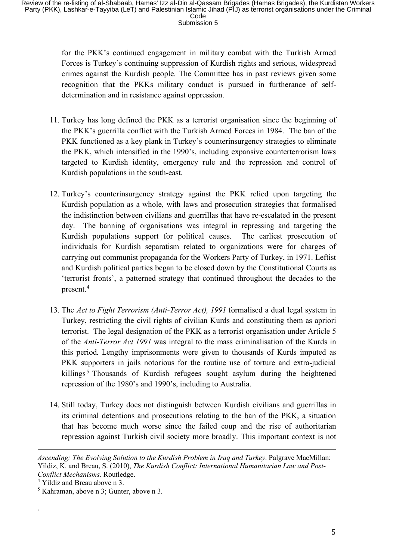for the PKK's continued engagement in military combat with the Turkish Armed Forces is Turkey's continuing suppression of Kurdish rights and serious, widespread crimes against the Kurdish people. The Committee has in past reviews given some recognition that the PKKs military conduct is pursued in furtherance of selfdetermination and in resistance against oppression.

- 11. Turkey has long defined the PKK as a terrorist organisation since the beginning of the PKK's guerrilla conflict with the Turkish Armed Forces in 1984. The ban of the PKK functioned as a key plank in Turkey's counterinsurgency strategies to eliminate the PKK, which intensified in the 1990's, including expansive counterterrorism laws targeted to Kurdish identity, emergency rule and the repression and control of Kurdish populations in the south-east.
- 12. Turkey's counterinsurgency strategy against the PKK relied upon targeting the Kurdish population as a whole, with laws and prosecution strategies that formalised the indistinction between civilians and guerrillas that have re-escalated in the present day. The banning of organisations was integral in repressing and targeting the Kurdish populations support for political causes. The earliest prosecution of individuals for Kurdish separatism related to organizations were for charges of carrying out communist propaganda for the Workers Party of Turkey, in 1971. Leftist and Kurdish political parties began to be closed down by the Constitutional Courts as 'terrorist fronts', a patterned strategy that continued throughout the decades to the present.4
- 13. The *Act to Fight Terrorism (Anti-Terror Act), 1991* formalised a dual legal system in Turkey, restricting the civil rights of civilian Kurds and constituting them as apriori terrorist. The legal designation of the PKK as a terrorist organisation under Article 5 of the *Anti-Terror Act 1991* was integral to the mass criminalisation of the Kurds in this period*.* Lengthy imprisonments were given to thousands of Kurds imputed as PKK supporters in jails notorious for the routine use of torture and extra-judicial killings<sup>5</sup> Thousands of Kurdish refugees sought asylum during the heightened repression of the 1980's and 1990's, including to Australia.
- 14. Still today, Turkey does not distinguish between Kurdish civilians and guerrillas in its criminal detentions and prosecutions relating to the ban of the PKK, a situation that has become much worse since the failed coup and the rise of authoritarian repression against Turkish civil society more broadly. This important context is not

<u> 1989 - Andrea Santa Alemania, amerikana amerikana amerikana amerikana amerikana amerikana amerikana amerikana</u>

.

*Ascending: The Evolving Solution to the Kurdish Problem in Iraq and Turkey*. Palgrave MacMillan; Yildiz, K. and Breau, S. (2010), *The Kurdish Conflict: International Humanitarian Law and Post-Conflict Mechanisms*. Routledge.

<sup>4</sup> Yildiz and Breau above n 3.

 $<sup>5</sup>$  Kahraman, above n 3; Gunter, above n 3.</sup>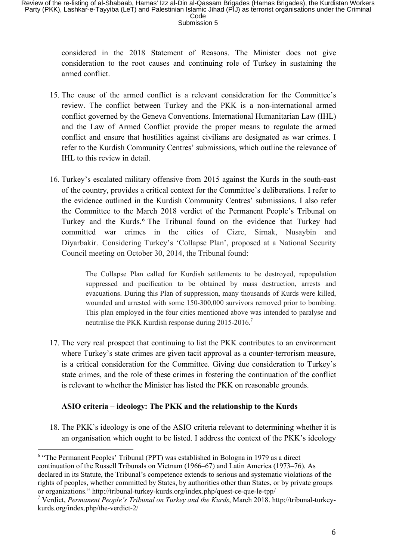considered in the 2018 Statement of Reasons. The Minister does not give consideration to the root causes and continuing role of Turkey in sustaining the armed conflict.

- 15. The cause of the armed conflict is a relevant consideration for the Committee's review. The conflict between Turkey and the PKK is a non-international armed conflict governed by the Geneva Conventions. International Humanitarian Law (IHL) and the Law of Armed Conflict provide the proper means to regulate the armed conflict and ensure that hostilities against civilians are designated as war crimes. I refer to the Kurdish Community Centres' submissions, which outline the relevance of IHL to this review in detail.
- 16. Turkey's escalated military offensive from 2015 against the Kurds in the south-east of the country, provides a critical context for the Committee's deliberations. I refer to the evidence outlined in the Kurdish Community Centres' submissions. I also refer the Committee to the March 2018 verdict of the Permanent People's Tribunal on Turkey and the Kurds.<sup>6</sup> The Tribunal found on the evidence that Turkey had committed war crimes in the cities of Cizre, Sirnak, Nusaybin and Diyarbakir. Considering Turkey's 'Collapse Plan', proposed at a National Security Council meeting on October 30, 2014, the Tribunal found:

The Collapse Plan called for Kurdish settlements to be destroyed, repopulation suppressed and pacification to be obtained by mass destruction, arrests and evacuations. During this Plan of suppression, many thousands of Kurds were killed, wounded and arrested with some 150-300,000 survivors removed prior to bombing. This plan employed in the four cities mentioned above was intended to paralyse and neutralise the PKK Kurdish response during 2015-2016.<sup>7</sup>

17. The very real prospect that continuing to list the PKK contributes to an environment where Turkey's state crimes are given tacit approval as a counter-terrorism measure, is a critical consideration for the Committee. Giving due consideration to Turkey's state crimes, and the role of these crimes in fostering the continuation of the conflict is relevant to whether the Minister has listed the PKK on reasonable grounds.

# **ASIO criteria – ideology: The PKK and the relationship to the Kurds**

 

18. The PKK's ideology is one of the ASIO criteria relevant to determining whether it is an organisation which ought to be listed. I address the context of the PKK's ideology

<sup>6</sup> "The Permanent Peoples' Tribunal (PPT) was established in Bologna in 1979 as a direct continuation of the Russell Tribunals on Vietnam (1966–67) and Latin America (1973–76). As declared in its Statute, the Tribunal's competence extends to serious and systematic violations of the rights of peoples, whether committed by States, by authorities other than States, or by private groups or organizations." http://tribunal-turkey-kurds.org/index.php/quest-ce-que-le-tpp/

<sup>7</sup> Verdict, *Permanent People's Tribunal on Turkey and the Kurds*, March 2018. http://tribunal-turkeykurds.org/index.php/the-verdict-2/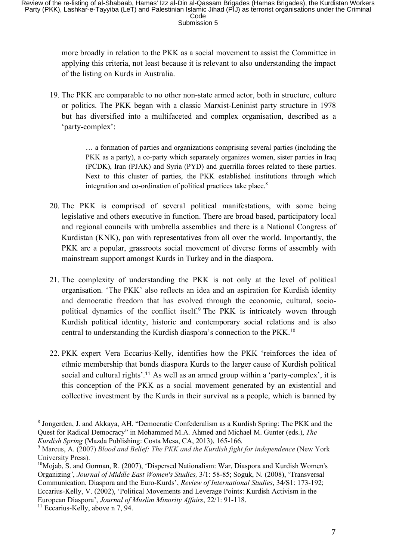more broadly in relation to the PKK as a social movement to assist the Committee in applying this criteria, not least because it is relevant to also understanding the impact of the listing on Kurds in Australia.

19. The PKK are comparable to no other non-state armed actor, both in structure, culture or politics. The PKK began with a classic Marxist-Leninist party structure in 1978 but has diversified into a multifaceted and complex organisation, described as a 'party-complex':

> … a formation of parties and organizations comprising several parties (including the PKK as a party), a co-party which separately organizes women, sister parties in Iraq (PCDK), Iran (PJAK) and Syria (PYD) and guerrilla forces related to these parties. Next to this cluster of parties, the PKK established institutions through which integration and co-ordination of political practices take place.<sup>8</sup>

- 20. The PKK is comprised of several political manifestations, with some being legislative and others executive in function. There are broad based, participatory local and regional councils with umbrella assemblies and there is a National Congress of Kurdistan (KNK), pan with representatives from all over the world. Importantly, the PKK are a popular, grassroots social movement of diverse forms of assembly with mainstream support amongst Kurds in Turkey and in the diaspora.
- 21. The complexity of understanding the PKK is not only at the level of political organisation. 'The PKK' also reflects an idea and an aspiration for Kurdish identity and democratic freedom that has evolved through the economic, cultural, sociopolitical dynamics of the conflict itself.<sup>9</sup> The PKK is intricately woven through Kurdish political identity, historic and contemporary social relations and is also central to understanding the Kurdish diaspora's connection to the PKK. 10
- 22. PKK expert Vera Eccarius-Kelly, identifies how the PKK 'reinforces the idea of ethnic membership that bonds diaspora Kurds to the larger cause of Kurdish political social and cultural rights'.<sup>11</sup> As well as an armed group within a 'party-complex', it is this conception of the PKK as a social movement generated by an existential and collective investment by the Kurds in their survival as a people, which is banned by

<sup>8</sup> Jongerden, J. and Akkaya, AH. "Democratic Confederalism as a Kurdish Spring: The PKK and the Quest for Radical Democracy" in Mohammed M.A. Ahmed and Michael M. Gunter (eds.), *The Kurdish Spring* (Mazda Publishing: Costa Mesa, CA, 2013), 165-166.

<sup>9</sup> Marcus, A. (2007) *Blood and Belief: The PKK and the Kurdish fight for independence* (New York University Press).

<sup>&</sup>lt;sup>10</sup>Mojab, S. and Gorman, R. (2007), 'Dispersed Nationalism: War, Diaspora and Kurdish Women's Organizing*'*, *Journal of Middle East Women's Studies,* 3/1: 58-85; Soguk, N. (2008), 'Transversal Communication, Diaspora and the Euro-Kurds', *Review of International Studies*, 34/S1: 173-192; Eccarius-Kelly, V. (2002), 'Political Movements and Leverage Points: Kurdish Activism in the European Diaspora', *Journal of Muslim Minority Affairs*, 22/1: 91-118.

 $11$  Eccarius-Kelly, above n 7, 94.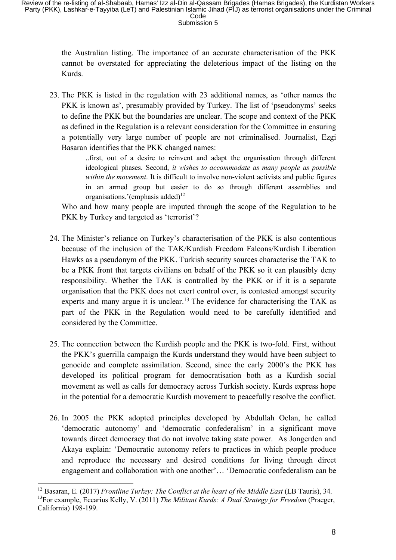the Australian listing. The importance of an accurate characterisation of the PKK cannot be overstated for appreciating the deleterious impact of the listing on the Kurds.

23. The PKK is listed in the regulation with 23 additional names, as 'other names the PKK is known as', presumably provided by Turkey. The list of 'pseudonyms' seeks to define the PKK but the boundaries are unclear. The scope and context of the PKK as defined in the Regulation is a relevant consideration for the Committee in ensuring a potentially very large number of people are not criminalised. Journalist, Ezgi Basaran identifies that the PKK changed names:

> ..first, out of a desire to reinvent and adapt the organisation through different ideological phases. Second, *it wishes to accommodate as many people as possible within the movement*. It is difficult to involve non-violent activists and public figures in an armed group but easier to do so through different assemblies and organisations.'(emphasis added)<sup>12</sup>

Who and how many people are imputed through the scope of the Regulation to be PKK by Turkey and targeted as 'terrorist'?

- 24. The Minister's reliance on Turkey's characterisation of the PKK is also contentious because of the inclusion of the TAK/Kurdish Freedom Falcons/Kurdish Liberation Hawks as a pseudonym of the PKK. Turkish security sources characterise the TAK to be a PKK front that targets civilians on behalf of the PKK so it can plausibly deny responsibility. Whether the TAK is controlled by the PKK or if it is a separate organisation that the PKK does not exert control over, is contested amongst security experts and many argue it is unclear.<sup>13</sup> The evidence for characterising the TAK as part of the PKK in the Regulation would need to be carefully identified and considered by the Committee.
- 25. The connection between the Kurdish people and the PKK is two-fold. First, without the PKK's guerrilla campaign the Kurds understand they would have been subject to genocide and complete assimilation. Second, since the early 2000's the PKK has developed its political program for democratisation both as a Kurdish social movement as well as calls for democracy across Turkish society. Kurds express hope in the potential for a democratic Kurdish movement to peacefully resolve the conflict.
- 26. In 2005 the PKK adopted principles developed by Abdullah Oclan, he called 'democratic autonomy' and 'democratic confederalism' in a significant move towards direct democracy that do not involve taking state power. As Jongerden and Akaya explain: 'Democratic autonomy refers to practices in which people produce and reproduce the necessary and desired conditions for living through direct engagement and collaboration with one another'… 'Democratic confederalism can be

<sup>12</sup> Basaran, E. (2017) *Frontline Turkey: The Conflict at the heart of the Middle East* (LB Tauris), 34. <sup>13</sup>For example, Eccarius Kelly, V. (2011) *The Militant Kurds: A Dual Strategy for Freedom* (Praeger, California) 198-199.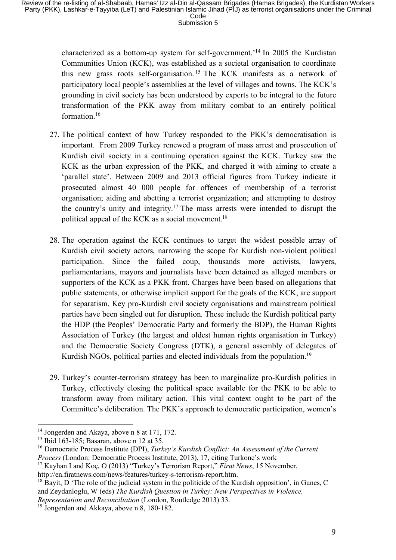characterized as a bottom-up system for self-government.'14 In 2005 the Kurdistan Communities Union (KCK), was established as a societal organisation to coordinate this new grass roots self-organisation. <sup>15</sup> The KCK manifests as a network of participatory local people's assemblies at the level of villages and towns. The KCK's grounding in civil society has been understood by experts to be integral to the future transformation of the PKK away from military combat to an entirely political formation.<sup>16</sup>

- 27. The political context of how Turkey responded to the PKK's democratisation is important. From 2009 Turkey renewed a program of mass arrest and prosecution of Kurdish civil society in a continuing operation against the KCK. Turkey saw the KCK as the urban expression of the PKK, and charged it with aiming to create a 'parallel state'. Between 2009 and 2013 official figures from Turkey indicate it prosecuted almost 40 000 people for offences of membership of a terrorist organisation; aiding and abetting a terrorist organization; and attempting to destroy the country's unity and integrity.17 The mass arrests were intended to disrupt the political appeal of the KCK as a social movement.<sup>18</sup>
- 28. The operation against the KCK continues to target the widest possible array of Kurdish civil society actors, narrowing the scope for Kurdish non-violent political participation. Since the failed coup, thousands more activists, lawyers, parliamentarians, mayors and journalists have been detained as alleged members or supporters of the KCK as a PKK front. Charges have been based on allegations that public statements, or otherwise implicit support for the goals of the KCK, are support for separatism. Key pro-Kurdish civil society organisations and mainstream political parties have been singled out for disruption. These include the Kurdish political party the HDP (the Peoples' Democratic Party and formerly the BDP), the Human Rights Association of Turkey (the largest and oldest human rights organisation in Turkey) and the Democratic Society Congress (DTK), a general assembly of delegates of Kurdish NGOs, political parties and elected individuals from the population.<sup>19</sup>
- 29. Turkey's counter-terrorism strategy has been to marginalize pro-Kurdish politics in Turkey, effectively closing the political space available for the PKK to be able to transform away from military action. This vital context ought to be part of the Committee's deliberation. The PKK's approach to democratic participation, women's

<sup>&</sup>lt;sup>14</sup> Jongerden and Akaya, above n 8 at 171, 172.

 $15$  Ibid 163-185; Basaran, above n 12 at 35.

<sup>16</sup> Democratic Process Institute (DPI), *Turkey's Kurdish Conflict: An Assessment of the Current Process* (London: Democratic Process Institute, 2013), 17, citing Turkone's work

<sup>17</sup> Kayhan I and Koç, O (2013) "Turkey's Terrorism Report," *Firat News*, 15 November. http://en.firatnews.com/news/features/turkey-s-terrorism-report.htm.

 $18$  Bayit, D 'The role of the judicial system in the politicide of the Kurdish opposition', in Gunes, C and Zeydanloglu, W (eds) *The Kurdish Question in Turkey: New Perspectives in Violence,* 

*Representation and Reconciliation* (London, Routledge 2013) 33.

<sup>&</sup>lt;sup>19</sup> Jongerden and Akkaya, above n 8, 180-182.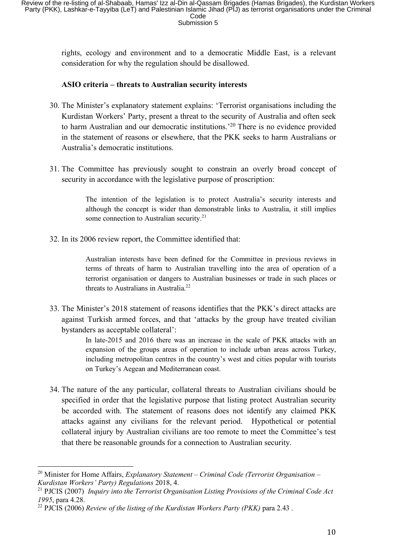rights, ecology and environment and to a democratic Middle East, is a relevant consideration for why the regulation should be disallowed.

## **ASIO criteria – threats to Australian security interests**

- 30. The Minister's explanatory statement explains: 'Terrorist organisations including the Kurdistan Workers' Party, present a threat to the security of Australia and often seek to harm Australian and our democratic institutions.' <sup>20</sup> There is no evidence provided in the statement of reasons or elsewhere, that the PKK seeks to harm Australians or Australia's democratic institutions.
- 31. The Committee has previously sought to constrain an overly broad concept of security in accordance with the legislative purpose of proscription:

The intention of the legislation is to protect Australia's security interests and although the concept is wider than demonstrable links to Australia, it still implies some connection to Australian security.<sup>21</sup>

32. In its 2006 review report, the Committee identified that:

Australian interests have been defined for the Committee in previous reviews in terms of threats of harm to Australian travelling into the area of operation of a terrorist organisation or dangers to Australian businesses or trade in such places or threats to Australians in Australia.<sup>22</sup>

33. The Minister's 2018 statement of reasons identifies that the PKK's direct attacks are against Turkish armed forces, and that 'attacks by the group have treated civilian bystanders as acceptable collateral':

> In late-2015 and 2016 there was an increase in the scale of PKK attacks with an expansion of the groups areas of operation to include urban areas across Turkey, including metropolitan centres in the country's west and cities popular with tourists on Turkey's Aegean and Mediterranean coast.

34. The nature of the any particular, collateral threats to Australian civilians should be specified in order that the legislative purpose that listing protect Australian security be accorded with. The statement of reasons does not identify any claimed PKK attacks against any civilians for the relevant period. Hypothetical or potential collateral injury by Australian civilians are too remote to meet the Committee's test that there be reasonable grounds for a connection to Australian security.

<sup>20</sup> Minister for Home Affairs, *Explanatory Statement – Criminal Code (Terrorist Organisation – Kurdistan Workers' Party) Regulations* 2018, 4.

<sup>21</sup> PJCIS (2007) *Inquiry into the Terrorist Organisation Listing Provisions of the Criminal Code Act 1995*, para 4.28.

<sup>22</sup> PJCIS (2006) *Review of the listing of the Kurdistan Workers Party (PKK)* para 2.43 .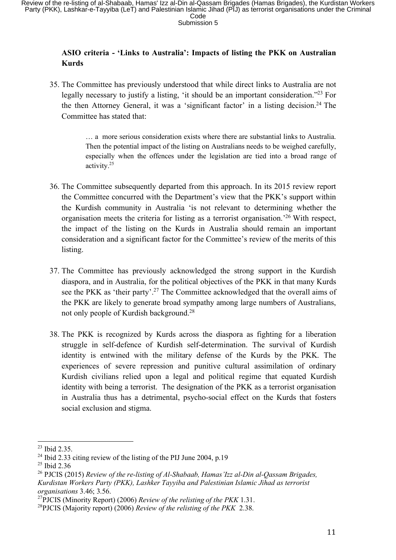# **ASIO criteria - 'Links to Australia': Impacts of listing the PKK on Australian Kurds**

35. The Committee has previously understood that while direct links to Australia are not legally necessary to justify a listing, 'it should be an important consideration."<sup>23</sup> For the then Attorney General, it was a 'significant factor' in a listing decision.<sup>24</sup> The Committee has stated that:

> … a more serious consideration exists where there are substantial links to Australia. Then the potential impact of the listing on Australians needs to be weighed carefully, especially when the offences under the legislation are tied into a broad range of activity.25

- 36. The Committee subsequently departed from this approach. In its 2015 review report the Committee concurred with the Department's view that the PKK's support within the Kurdish community in Australia 'is not relevant to determining whether the organisation meets the criteria for listing as a terrorist organisation.' <sup>26</sup> With respect, the impact of the listing on the Kurds in Australia should remain an important consideration and a significant factor for the Committee's review of the merits of this listing.
- 37. The Committee has previously acknowledged the strong support in the Kurdish diaspora, and in Australia, for the political objectives of the PKK in that many Kurds see the PKK as 'their party'.<sup>27</sup> The Committee acknowledged that the overall aims of the PKK are likely to generate broad sympathy among large numbers of Australians, not only people of Kurdish background.28
- 38. The PKK is recognized by Kurds across the diaspora as fighting for a liberation struggle in self-defence of Kurdish self-determination. The survival of Kurdish identity is entwined with the military defense of the Kurds by the PKK. The experiences of severe repression and punitive cultural assimilation of ordinary Kurdish civilians relied upon a legal and political regime that equated Kurdish identity with being a terrorist. The designation of the PKK as a terrorist organisation in Australia thus has a detrimental, psycho-social effect on the Kurds that fosters social exclusion and stigma.

<sup>23</sup> Ibid 2.35.

<sup>&</sup>lt;sup>24</sup> Ibid 2.33 citing review of the listing of the PIJ June 2004, p.19

<sup>&</sup>lt;sup>25</sup> Ibid 2.36

<sup>26</sup> PJCIS (2015) *Review of the re-listing of Al-Shabaab, Hamas'Izz al-Din al-Qassam Brigades, Kurdistan Workers Party (PKK), Lashker Tayyiba and Palestinian Islamic Jihad as terrorist organisations* 3.46; 3.56.

<sup>27</sup>PJCIS (Minority Report) (2006) *Review of the relisting of the PKK* 1.31.

<sup>28</sup>PJCIS (Majority report) (2006) *Review of the relisting of the PKK* 2.38.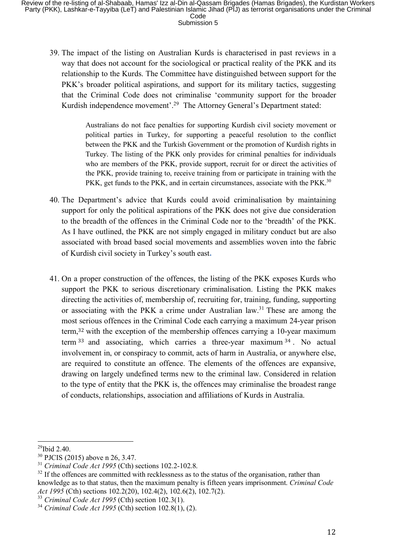39. The impact of the listing on Australian Kurds is characterised in past reviews in a way that does not account for the sociological or practical reality of the PKK and its relationship to the Kurds. The Committee have distinguished between support for the PKK's broader political aspirations, and support for its military tactics, suggesting that the Criminal Code does not criminalise 'community support for the broader Kurdish independence movement'.<sup>29</sup> The Attorney General's Department stated:

> Australians do not face penalties for supporting Kurdish civil society movement or political parties in Turkey, for supporting a peaceful resolution to the conflict between the PKK and the Turkish Government or the promotion of Kurdish rights in Turkey. The listing of the PKK only provides for criminal penalties for individuals who are members of the PKK, provide support, recruit for or direct the activities of the PKK, provide training to, receive training from or participate in training with the PKK, get funds to the PKK, and in certain circumstances, associate with the PKK.<sup>30</sup>

- 40. The Department's advice that Kurds could avoid criminalisation by maintaining support for only the political aspirations of the PKK does not give due consideration to the breadth of the offences in the Criminal Code nor to the 'breadth' of the PKK. As I have outlined, the PKK are not simply engaged in military conduct but are also associated with broad based social movements and assemblies woven into the fabric of Kurdish civil society in Turkey's south east**.**
- 41. On a proper construction of the offences, the listing of the PKK exposes Kurds who support the PKK to serious discretionary criminalisation. Listing the PKK makes directing the activities of, membership of, recruiting for, training, funding, supporting or associating with the PKK a crime under Australian law. <sup>31</sup> These are among the most serious offences in the Criminal Code each carrying a maximum 24-year prison term, <sup>32</sup> with the exception of the membership offences carrying a 10-year maximum term <sup>33</sup> and associating, which carries a three-year maximum <sup>34</sup> . No actual involvement in, or conspiracy to commit, acts of harm in Australia, or anywhere else, are required to constitute an offence. The elements of the offences are expansive, drawing on largely undefined terms new to the criminal law. Considered in relation to the type of entity that the PKK is, the offences may criminalise the broadest range of conducts, relationships, association and affiliations of Kurds in Australia.

<sup>29</sup>Ibid 2.40.

<sup>30</sup> PJCIS (2015) above n 26, 3.47.

<sup>31</sup> *Criminal Code Act 1995* (Cth) sections 102.2-102.8.

 $32$  If the offences are committed with recklessness as to the status of the organisation, rather than knowledge as to that status, then the maximum penalty is fifteen years imprisonment. *Criminal Code Act 1995* (Cth) sections 102.2(20), 102.4(2), 102.6(2), 102.7(2).

<sup>33</sup> *Criminal Code Act 1995* (Cth) section 102.3(1).

<sup>34</sup> *Criminal Code Act 1995* (Cth) section 102.8(1), (2).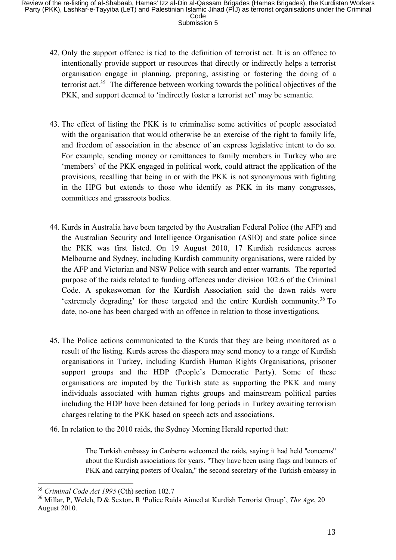- 42. Only the support offence is tied to the definition of terrorist act. It is an offence to intentionally provide support or resources that directly or indirectly helps a terrorist organisation engage in planning, preparing, assisting or fostering the doing of a terrorist act.35 The difference between working towards the political objectives of the PKK, and support deemed to 'indirectly foster a terrorist act' may be semantic.
- 43. The effect of listing the PKK is to criminalise some activities of people associated with the organisation that would otherwise be an exercise of the right to family life, and freedom of association in the absence of an express legislative intent to do so. For example, sending money or remittances to family members in Turkey who are 'members' of the PKK engaged in political work, could attract the application of the provisions, recalling that being in or with the PKK is not synonymous with fighting in the HPG but extends to those who identify as PKK in its many congresses, committees and grassroots bodies.
- 44. Kurds in Australia have been targeted by the Australian Federal Police (the AFP) and the Australian Security and Intelligence Organisation (ASIO) and state police since the PKK was first listed. On 19 August 2010, 17 Kurdish residences across Melbourne and Sydney, including Kurdish community organisations, were raided by the AFP and Victorian and NSW Police with search and enter warrants. The reported purpose of the raids related to funding offences under division 102.6 of the Criminal Code. A spokeswoman for the Kurdish Association said the dawn raids were 'extremely degrading' for those targeted and the entire Kurdish community.36 To date, no-one has been charged with an offence in relation to those investigations.
- 45. The Police actions communicated to the Kurds that they are being monitored as a result of the listing. Kurds across the diaspora may send money to a range of Kurdish organisations in Turkey, including Kurdish Human Rights Organisations, prisoner support groups and the HDP (People's Democratic Party). Some of these organisations are imputed by the Turkish state as supporting the PKK and many individuals associated with human rights groups and mainstream political parties including the HDP have been detained for long periods in Turkey awaiting terrorism charges relating to the PKK based on speech acts and associations.
- 46. In relation to the 2010 raids, the Sydney Morning Herald reported that:

The Turkish embassy in Canberra welcomed the raids, saying it had held ''concerns'' about the Kurdish associations for years. ''They have been using flags and banners of PKK and carrying posters of Ocalan," the second secretary of the Turkish embassy in

<sup>35</sup> *Criminal Code Act 1995* (Cth) section 102.7

<sup>36</sup> Millar, P, Welch, D & Sexton**,** R **'**Police Raids Aimed at Kurdish Terrorist Group', *The Age*, 20 August 2010.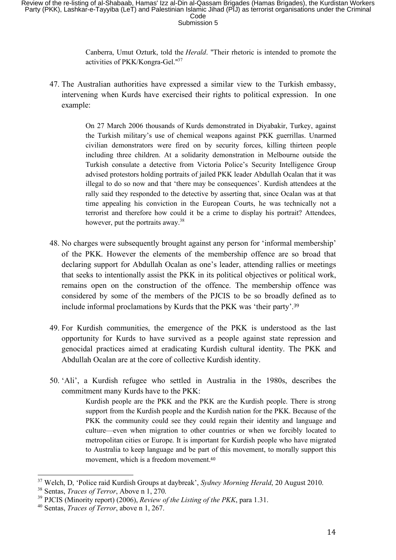Canberra, Umut Ozturk, told the *Herald*. ''Their rhetoric is intended to promote the activities of PKK/Kongra-Gel.''<sup>37</sup>

47. The Australian authorities have expressed a similar view to the Turkish embassy, intervening when Kurds have exercised their rights to political expression. In one example:

> On 27 March 2006 thousands of Kurds demonstrated in Diyabakir, Turkey, against the Turkish military's use of chemical weapons against PKK guerrillas. Unarmed civilian demonstrators were fired on by security forces, killing thirteen people including three children. At a solidarity demonstration in Melbourne outside the Turkish consulate a detective from Victoria Police's Security Intelligence Group advised protestors holding portraits of jailed PKK leader Abdullah Ocalan that it was illegal to do so now and that 'there may be consequences'. Kurdish attendees at the rally said they responded to the detective by asserting that, since Ocalan was at that time appealing his conviction in the European Courts, he was technically not a terrorist and therefore how could it be a crime to display his portrait? Attendees, however, put the portraits away.<sup>38</sup>

- 48. No charges were subsequently brought against any person for 'informal membership' of the PKK. However the elements of the membership offence are so broad that declaring support for Abdullah Ocalan as one's leader, attending rallies or meetings that seeks to intentionally assist the PKK in its political objectives or political work, remains open on the construction of the offence. The membership offence was considered by some of the members of the PJCIS to be so broadly defined as to include informal proclamations by Kurds that the PKK was 'their party'.<sup>39</sup>
- 49. For Kurdish communities, the emergence of the PKK is understood as the last opportunity for Kurds to have survived as a people against state repression and genocidal practices aimed at eradicating Kurdish cultural identity. The PKK and Abdullah Ocalan are at the core of collective Kurdish identity.
- 50. 'Ali', a Kurdish refugee who settled in Australia in the 1980s, describes the commitment many Kurds have to the PKK:

Kurdish people are the PKK and the PKK are the Kurdish people. There is strong support from the Kurdish people and the Kurdish nation for the PKK. Because of the PKK the community could see they could regain their identity and language and culture—even when migration to other countries or when we forcibly located to metropolitan cities or Europe. It is important for Kurdish people who have migrated to Australia to keep language and be part of this movement, to morally support this movement, which is a freedom movement.<sup>40</sup>

<sup>37</sup> Welch, D, 'Police raid Kurdish Groups at daybreak', *Sydney Morning Herald*, 20 August 2010.

<sup>38</sup> Sentas, *Traces of Terror*, Above n 1, 270.

<sup>39</sup> PJCIS (Minority report) (2006), *Review of the Listing of the PKK*, para 1.31.

<sup>40</sup> Sentas, *Traces of Terror*, above n 1, 267.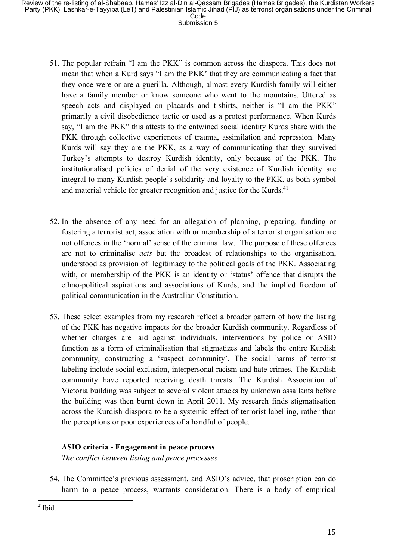- 51. The popular refrain "I am the PKK" is common across the diaspora. This does not mean that when a Kurd says "I am the PKK' that they are communicating a fact that they once were or are a guerilla. Although, almost every Kurdish family will either have a family member or know someone who went to the mountains. Uttered as speech acts and displayed on placards and t-shirts, neither is "I am the PKK" primarily a civil disobedience tactic or used as a protest performance. When Kurds say, "I am the PKK" this attests to the entwined social identity Kurds share with the PKK through collective experiences of trauma, assimilation and repression. Many Kurds will say they are the PKK, as a way of communicating that they survived Turkey's attempts to destroy Kurdish identity, only because of the PKK. The institutionalised policies of denial of the very existence of Kurdish identity are integral to many Kurdish people's solidarity and loyalty to the PKK, as both symbol and material vehicle for greater recognition and justice for the Kurds.<sup>41</sup>
- 52. In the absence of any need for an allegation of planning, preparing, funding or fostering a terrorist act, association with or membership of a terrorist organisation are not offences in the 'normal' sense of the criminal law. The purpose of these offences are not to criminalise *acts* but the broadest of relationships to the organisation, understood as provision of legitimacy to the political goals of the PKK. Associating with, or membership of the PKK is an identity or 'status' offence that disrupts the ethno-political aspirations and associations of Kurds, and the implied freedom of political communication in the Australian Constitution.
- 53. These select examples from my research reflect a broader pattern of how the listing of the PKK has negative impacts for the broader Kurdish community. Regardless of whether charges are laid against individuals, interventions by police or ASIO function as a form of criminalisation that stigmatizes and labels the entire Kurdish community, constructing a 'suspect community'. The social harms of terrorist labeling include social exclusion, interpersonal racism and hate-crimes. The Kurdish community have reported receiving death threats. The Kurdish Association of Victoria building was subject to several violent attacks by unknown assailants before the building was then burnt down in April 2011. My research finds stigmatisation across the Kurdish diaspora to be a systemic effect of terrorist labelling, rather than the perceptions or poor experiences of a handful of people.

## **ASIO criteria - Engagement in peace process**

*The conflict between listing and peace processes*

54. The Committee's previous assessment, and ASIO's advice, that proscription can do harm to a peace process, warrants consideration. There is a body of empirical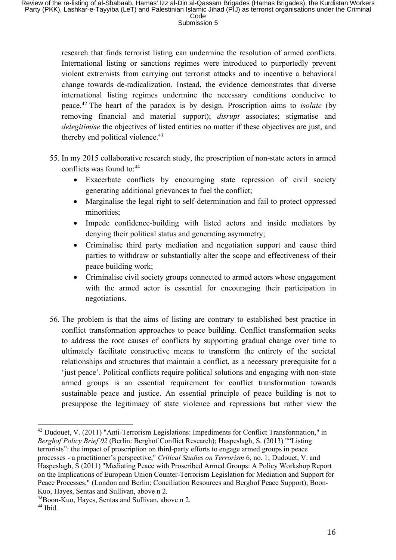research that finds terrorist listing can undermine the resolution of armed conflicts. International listing or sanctions regimes were introduced to purportedly prevent violent extremists from carrying out terrorist attacks and to incentive a behavioral change towards de-radicalization. Instead, the evidence demonstrates that diverse international listing regimes undermine the necessary conditions conducive to peace.42 The heart of the paradox is by design. Proscription aims to *isolate* (by removing financial and material support); *disrupt* associates; stigmatise and *delegitimise* the objectives of listed entities no matter if these objectives are just, and thereby end political violence.<sup>43</sup>

- 55. In my 2015 collaborative research study, the proscription of non-state actors in armed conflicts was found to:44
	- Exacerbate conflicts by encouraging state repression of civil society generating additional grievances to fuel the conflict;
	- Marginalise the legal right to self-determination and fail to protect oppressed minorities;
	- Impede confidence-building with listed actors and inside mediators by denying their political status and generating asymmetry;
	- Criminalise third party mediation and negotiation support and cause third parties to withdraw or substantially alter the scope and effectiveness of their peace building work;
	- Criminalise civil society groups connected to armed actors whose engagement with the armed actor is essential for encouraging their participation in negotiations.
- 56. The problem is that the aims of listing are contrary to established best practice in conflict transformation approaches to peace building. Conflict transformation seeks to address the root causes of conflicts by supporting gradual change over time to ultimately facilitate constructive means to transform the entirety of the societal relationships and structures that maintain a conflict, as a necessary prerequisite for a 'just peace'. Political conflicts require political solutions and engaging with non-state armed groups is an essential requirement for conflict transformation towards sustainable peace and justice. An essential principle of peace building is not to presuppose the legitimacy of state violence and repressions but rather view the

  $42$  Dudouet, V. (2011) "Anti-Terrorism Legislations: Impediments for Conflict Transformation," in *Berghof Policy Brief 02* (Berlin: Berghof Conflict Research); Haspeslagh, S. (2013) ""Listing terrorists": the impact of proscription on third-party efforts to engage armed groups in peace processes - a practitioner's perspective," *Critical Studies on Terrorism* 6, no. 1; Dudouet, V. and Haspeslagh, S (2011) "Mediating Peace with Proscribed Armed Groups: A Policy Workshop Report on the Implications of European Union Counter-Terrorism Legislation for Mediation and Support for Peace Processes," (London and Berlin: Conciliation Resources and Berghof Peace Support); Boon-Kuo, Hayes, Sentas and Sullivan, above n 2.

<sup>43</sup>Boon-Kuo, Hayes, Sentas and Sullivan, above n 2.

 $44$  Ibid.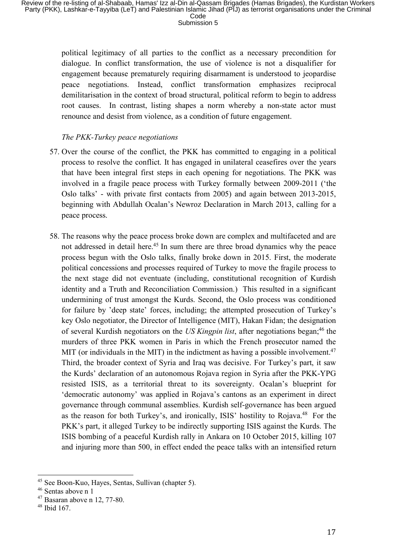political legitimacy of all parties to the conflict as a necessary precondition for dialogue. In conflict transformation, the use of violence is not a disqualifier for engagement because prematurely requiring disarmament is understood to jeopardise peace negotiations. Instead, conflict transformation emphasizes reciprocal demilitarisation in the context of broad structural, political reform to begin to address root causes. In contrast, listing shapes a norm whereby a non-state actor must renounce and desist from violence, as a condition of future engagement.

### *The PKK-Turkey peace negotiations*

- 57. Over the course of the conflict, the PKK has committed to engaging in a political process to resolve the conflict. It has engaged in unilateral ceasefires over the years that have been integral first steps in each opening for negotiations. The PKK was involved in a fragile peace process with Turkey formally between 2009-2011 ('the Oslo talks' - with private first contacts from 2005) and again between 2013-2015, beginning with Abdullah Ocalan's Newroz Declaration in March 2013, calling for a peace process.
- 58. The reasons why the peace process broke down are complex and multifaceted and are not addressed in detail here.<sup>45</sup> In sum there are three broad dynamics why the peace process begun with the Oslo talks, finally broke down in 2015. First, the moderate political concessions and processes required of Turkey to move the fragile process to the next stage did not eventuate (including, constitutional recognition of Kurdish identity and a Truth and Reconciliation Commission.) This resulted in a significant undermining of trust amongst the Kurds. Second, the Oslo process was conditioned for failure by 'deep state' forces, including; the attempted prosecution of Turkey's key Oslo negotiator, the Director of Intelligence (MIT), Hakan Fidan; the designation of several Kurdish negotiators on the *US Kingpin list*, after negotiations began;<sup>46</sup> the murders of three PKK women in Paris in which the French prosecutor named the MIT (or individuals in the MIT) in the indictment as having a possible involvement.<sup>47</sup> Third, the broader context of Syria and Iraq was decisive. For Turkey's part, it saw the Kurds' declaration of an autonomous Rojava region in Syria after the PKK-YPG resisted ISIS, as a territorial threat to its sovereignty. Ocalan's blueprint for 'democratic autonomy' was applied in Rojava's cantons as an experiment in direct governance through communal assemblies. Kurdish self-governance has been argued as the reason for both Turkey's, and ironically, ISIS' hostility to Rojava.<sup>48</sup> For the PKK's part, it alleged Turkey to be indirectly supporting ISIS against the Kurds. The ISIS bombing of a peaceful Kurdish rally in Ankara on 10 October 2015, killing 107 and injuring more than 500, in effect ended the peace talks with an intensified return

<sup>45</sup> See Boon-Kuo, Hayes, Sentas, Sullivan (chapter 5).

<sup>46</sup> Sentas above n 1

<sup>47</sup> Basaran above n 12, 77-80.

 $48$  Ibid 167.